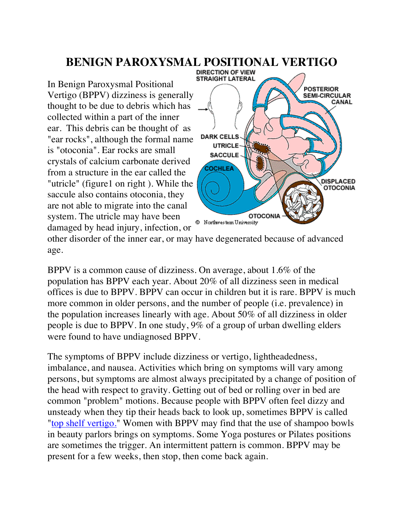## **BENIGN PAROXYSMAL POSITIONAL VERTIGO**

In Benign Paroxysmal Positional Vertigo (BPPV) dizziness is generally thought to be due to debris which has collected within a part of the inner ear. This debris can be thought of as "ear rocks", although the formal name is "otoconia". Ear rocks are small crystals of calcium carbonate derived from a structure in the ear called the "utricle" (figure1 on right ). While the saccule also contains otoconia, they are not able to migrate into the canal system. The utricle may have been damaged by head injury, infection, or



other disorder of the inner ear, or may have degenerated because of advanced age.

BPPV is a common cause of dizziness. On average, about 1.6% of the population has BPPV each year. About 20% of all dizziness seen in medical offices is due to BPPV. BPPV can occur in children but it is rare. BPPV is much more common in older persons, and the number of people (i.e. prevalence) in the population increases linearly with age. About 50% of all dizziness in older people is due to BPPV. In one study, 9% of a group of urban dwelling elders were found to have undiagnosed BPPV.

The symptoms of BPPV include dizziness or vertigo, lightheadedness, imbalance, and nausea. Activities which bring on symptoms will vary among persons, but symptoms are almost always precipitated by a change of position of the head with respect to gravity. Getting out of bed or rolling over in bed are common "problem" motions. Because people with BPPV often feel dizzy and unsteady when they tip their heads back to look up, sometimes BPPV is called "top shelf vertigo." Women with BPPV may find that the use of shampoo bowls in beauty parlors brings on symptoms. Some Yoga postures or Pilates positions are sometimes the trigger. An intermittent pattern is common. BPPV may be present for a few weeks, then stop, then come back again.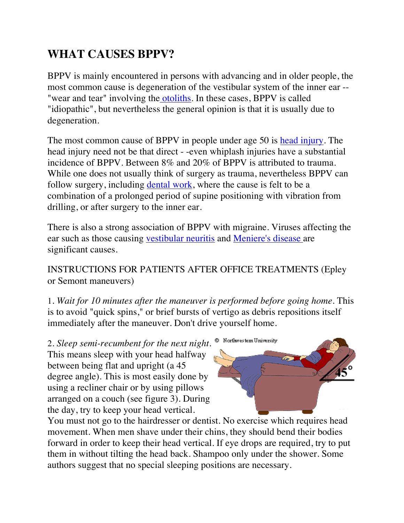## **WHAT CAUSES BPPV?**

BPPV is mainly encountered in persons with advancing and in older people, the most common cause is degeneration of the vestibular system of the inner ear -- "wear and tear" involving the otoliths. In these cases, BPPV is called "idiopathic", but nevertheless the general opinion is that it is usually due to degeneration.

The most common cause of BPPV in people under age 50 is head injury. The head injury need not be that direct - -even whiplash injuries have a substantial incidence of BPPV. Between 8% and 20% of BPPV is attributed to trauma. While one does not usually think of surgery as trauma, nevertheless BPPV can follow surgery, including dental work, where the cause is felt to be a combination of a prolonged period of supine positioning with vibration from drilling, or after surgery to the inner ear.

There is also a strong association of BPPV with migraine. Viruses affecting the ear such as those causing vestibular neuritis and Meniere's disease are significant causes.

INSTRUCTIONS FOR PATIENTS AFTER OFFICE TREATMENTS (Epley or Semont maneuvers)

1. *Wait for 10 minutes after the maneuver is performed before going home*. This is to avoid "quick spins," or brief bursts of vertigo as debris repositions itself immediately after the maneuver. Don't drive yourself home.

2. *Sleep semi-recumbent for the next night*. This means sleep with your head halfway between being flat and upright (a 45 degree angle). This is most easily done by using a recliner chair or by using pillows arranged on a couch (see figure 3). During the day, try to keep your head vertical.

Northwestem University

You must not go to the hairdresser or dentist. No exercise which requires head movement. When men shave under their chins, they should bend their bodies forward in order to keep their head vertical. If eye drops are required, try to put them in without tilting the head back. Shampoo only under the shower. Some authors suggest that no special sleeping positions are necessary.